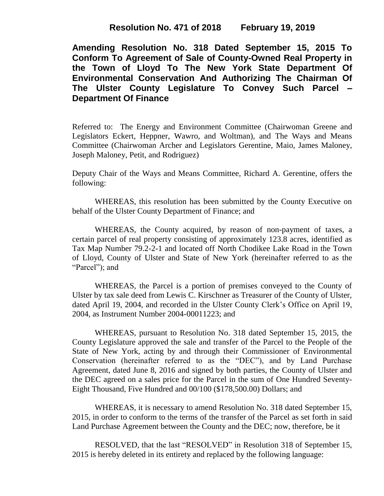**Resolution No. 471 of 2018 February 19, 2019**

**Amending Resolution No. 318 Dated September 15, 2015 To Conform To Agreement of Sale of County-Owned Real Property in the Town of Lloyd To The New York State Department Of Environmental Conservation And Authorizing The Chairman Of The Ulster County Legislature To Convey Such Parcel – Department Of Finance**

Referred to: The Energy and Environment Committee (Chairwoman Greene and Legislators Eckert, Heppner, Wawro, and Woltman), and The Ways and Means Committee (Chairwoman Archer and Legislators Gerentine, Maio, James Maloney, Joseph Maloney, Petit, and Rodriguez)

Deputy Chair of the Ways and Means Committee, Richard A. Gerentine, offers the following:

WHEREAS, this resolution has been submitted by the County Executive on behalf of the Ulster County Department of Finance; and

WHEREAS, the County acquired, by reason of non-payment of taxes, a certain parcel of real property consisting of approximately 123.8 acres, identified as Tax Map Number 79.2-2-1 and located off North Chodikee Lake Road in the Town of Lloyd, County of Ulster and State of New York (hereinafter referred to as the "Parcel"); and

WHEREAS, the Parcel is a portion of premises conveyed to the County of Ulster by tax sale deed from Lewis C. Kirschner as Treasurer of the County of Ulster, dated April 19, 2004, and recorded in the Ulster County Clerk's Office on April 19, 2004, as Instrument Number 2004-00011223; and

WHEREAS, pursuant to Resolution No. 318 dated September 15, 2015, the County Legislature approved the sale and transfer of the Parcel to the People of the State of New York, acting by and through their Commissioner of Environmental Conservation (hereinafter referred to as the "DEC"), and by Land Purchase Agreement, dated June 8, 2016 and signed by both parties, the County of Ulster and the DEC agreed on a sales price for the Parcel in the sum of One Hundred Seventy-Eight Thousand, Five Hundred and 00/100 (\$178,500.00) Dollars; and

WHEREAS, it is necessary to amend Resolution No. 318 dated September 15, 2015, in order to conform to the terms of the transfer of the Parcel as set forth in said Land Purchase Agreement between the County and the DEC; now, therefore, be it

RESOLVED, that the last "RESOLVED" in Resolution 318 of September 15, 2015 is hereby deleted in its entirety and replaced by the following language: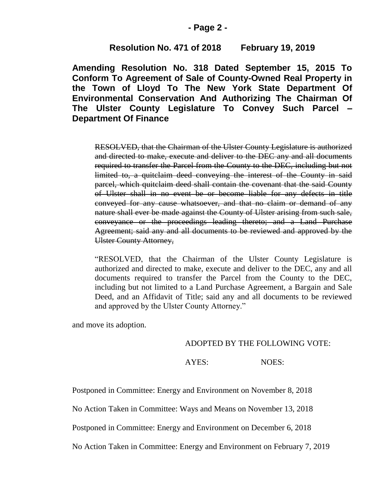### **- Page 2 -**

## **Resolution No. 471 of 2018 February 19, 2019**

**Amending Resolution No. 318 Dated September 15, 2015 To Conform To Agreement of Sale of County-Owned Real Property in the Town of Lloyd To The New York State Department Of Environmental Conservation And Authorizing The Chairman Of The Ulster County Legislature To Convey Such Parcel – Department Of Finance**

RESOLVED, that the Chairman of the Ulster County Legislature is authorized and directed to make, execute and deliver to the DEC any and all documents required to transfer the Parcel from the County to the DEC, including but not limited to, a quitclaim deed conveying the interest of the County in said parcel, which quitclaim deed shall contain the covenant that the said County of Ulster shall in no event be or become liable for any defects in title conveyed for any cause whatsoever, and that no claim or demand of any nature shall ever be made against the County of Ulster arising from such sale, conveyance or the proceedings leading thereto; and a Land Purchase Agreement; said any and all documents to be reviewed and approved by the Ulster County Attorney,

"RESOLVED, that the Chairman of the Ulster County Legislature is authorized and directed to make, execute and deliver to the DEC, any and all documents required to transfer the Parcel from the County to the DEC, including but not limited to a Land Purchase Agreement, a Bargain and Sale Deed, and an Affidavit of Title; said any and all documents to be reviewed and approved by the Ulster County Attorney."

and move its adoption.

#### ADOPTED BY THE FOLLOWING VOTE:

#### AYES: NOES:

Postponed in Committee: Energy and Environment on November 8, 2018

No Action Taken in Committee: Ways and Means on November 13, 2018

Postponed in Committee: Energy and Environment on December 6, 2018

No Action Taken in Committee: Energy and Environment on February 7, 2019